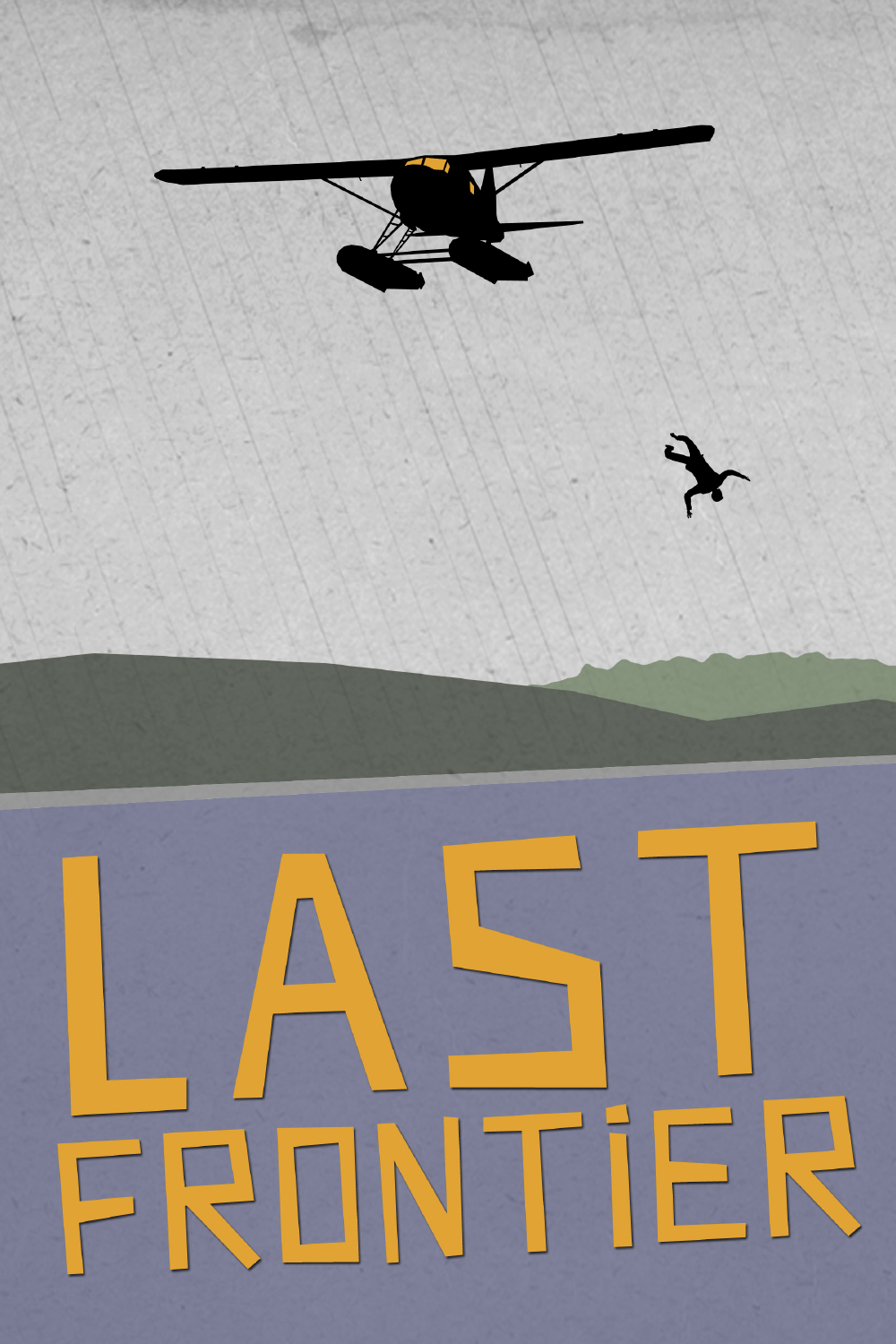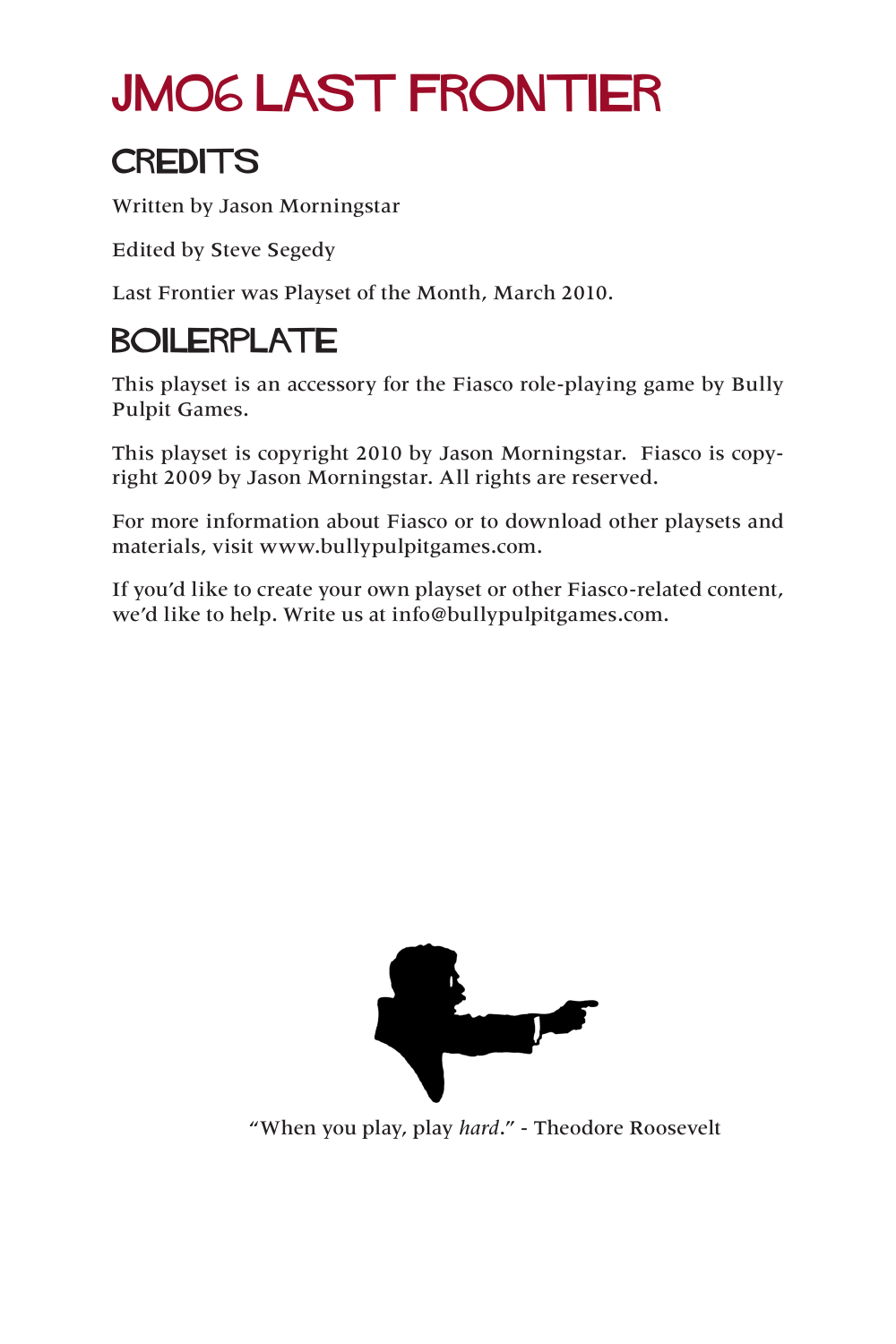### JM06 LAST FRONTIER

#### **CREDITS**

Written by Jason Morningstar

Edited by Steve Segedy

Last Frontier was Playset of the Month, March 2010.

#### BOILERPLATE

This playset is an accessory for the Fiasco role-playing game by Bully Pulpit Games.

This playset is copyright 2010 by Jason Morningstar. Fiasco is copyright 2009 by Jason Morningstar. All rights are reserved.

For more information about Fiasco or to download other playsets and materials, visit www.bullypulpitgames.com.

If you'd like to create your own playset or other Fiasco-related content, we'd like to help. Write us at info@bullypulpitgames.com.



"When you play, play *hard*." - Theodore Roosevelt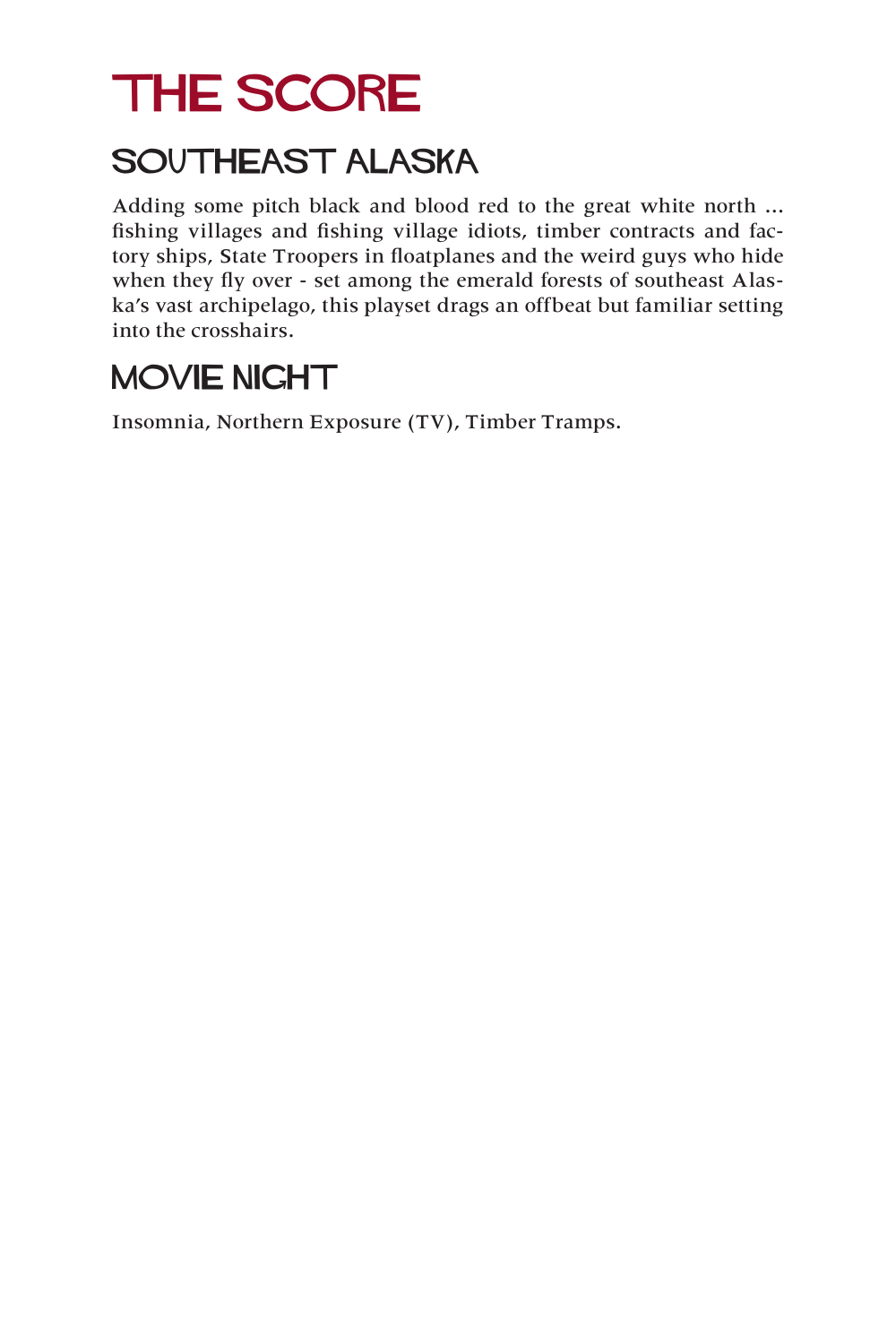### THE SCORE

#### SOUTHEAST ALASKA

Adding some pitch black and blood red to the great white north ... fishing villages and fishing village idiots, timber contracts and factory ships, State Troopers in floatplanes and the weird guys who hide when they fly over - set among the emerald forests of southeast Alaska's vast archipelago, this playset drags an offbeat but familiar setting into the crosshairs.

#### MOVIE NIGHT

Insomnia, Northern Exposure (TV), Timber Tramps.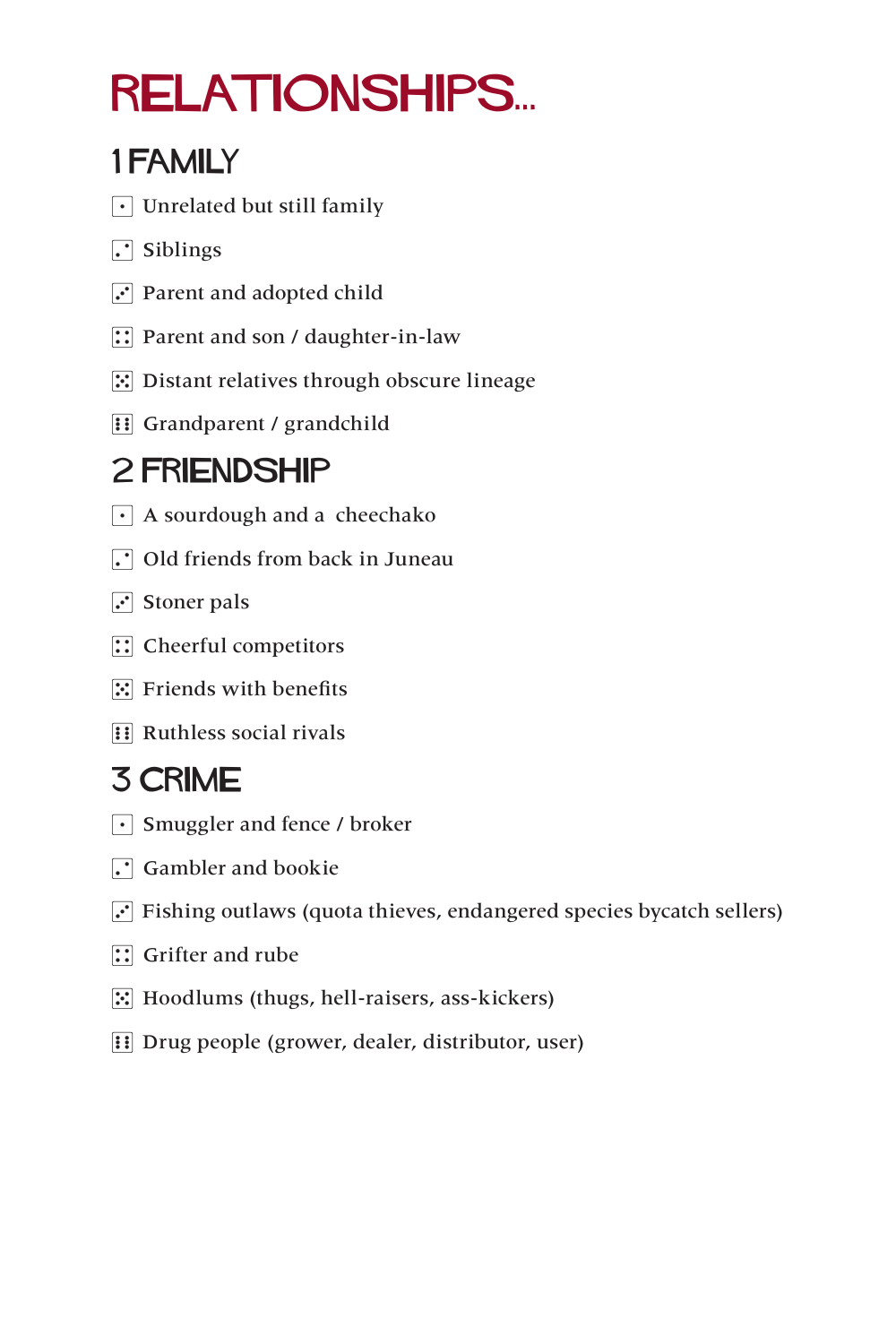# relationships...

#### 1 family

- $\lceil \cdot \rceil$  Unrelated but still family
- $\Gamma$  Siblings
- $\overline{3}$  Parent and adopted child
- $\boxed{\therefore}$  Parent and son / daughter-in-law
- $\mathbb{E}$  Distant relatives through obscure lineage
- **1** Grandparent / grandchild

#### 2 friendship

- $\lceil \cdot \rceil$  A sourdough and a cheechako
- $\Gamma$  Old friends from back in Juneau
- $\Gamma$  Stoner pals
- $\boxed{\therefore}$  Cheerful competitors
- $\mathbb{E}$  Friends with benefits
- $\mathbb{R}$  Ruthless social rivals

#### 3 crime

- $\lceil \cdot \rceil$  Smuggler and fence / broker
- $\Box$  Gambler and bookie
- $\cdot$  Fishing outlaws (quota thieves, endangered species bycatch sellers)
- $\boxed{\therefore}$  Grifter and rube
- 5 Hoodlums (thugs, hell-raisers, ass-kickers)
- **11** Drug people (grower, dealer, distributor, user)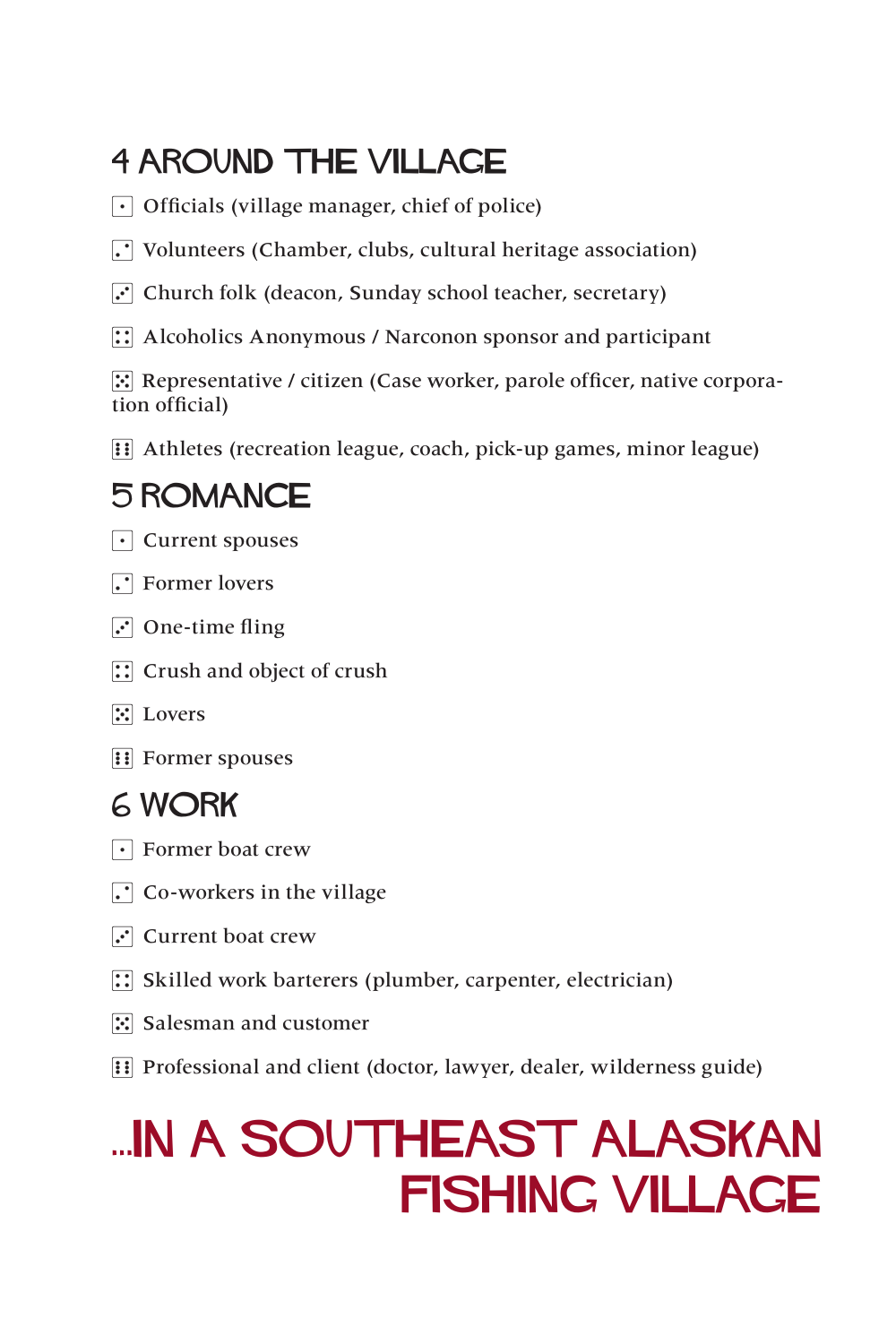#### 4 AROUND THE VILLAGE

- $\lceil \cdot \rceil$  Officials (village manager, chief of police)
- $\cdot$  Volunteers (Chamber, clubs, cultural heritage association)
- $\overline{3}$  Church folk (deacon, Sunday school teacher, secretary)
- $\therefore$  Alcoholics Anonymous / Narconon sponsor and participant

 $\mathbb{E}$  Representative / citizen (Case worker, parole officer, native corporation official)

**11** Athletes (recreation league, coach, pick-up games, minor league)

#### 5 romance

- $\lceil \cdot \rceil$  Current spouses
- $\Gamma$  Former lovers
- $\cdot$  One-time fling
- $\mathbb{R}$  Crush and object of crush
- $\mathbb{E}$  Lovers
- **1** Former spouses

#### 6 work

- $\lceil \cdot \rceil$  Former boat crew
- $\Gamma$  Co-workers in the village
- $\cdot$  Current boat crew
- $\therefore$  Skilled work barterers (plumber, carpenter, electrician)
- $\mathbb{E}$  Salesman and customer
- **Fi** Professional and client (doctor, lawyer, dealer, wilderness guide)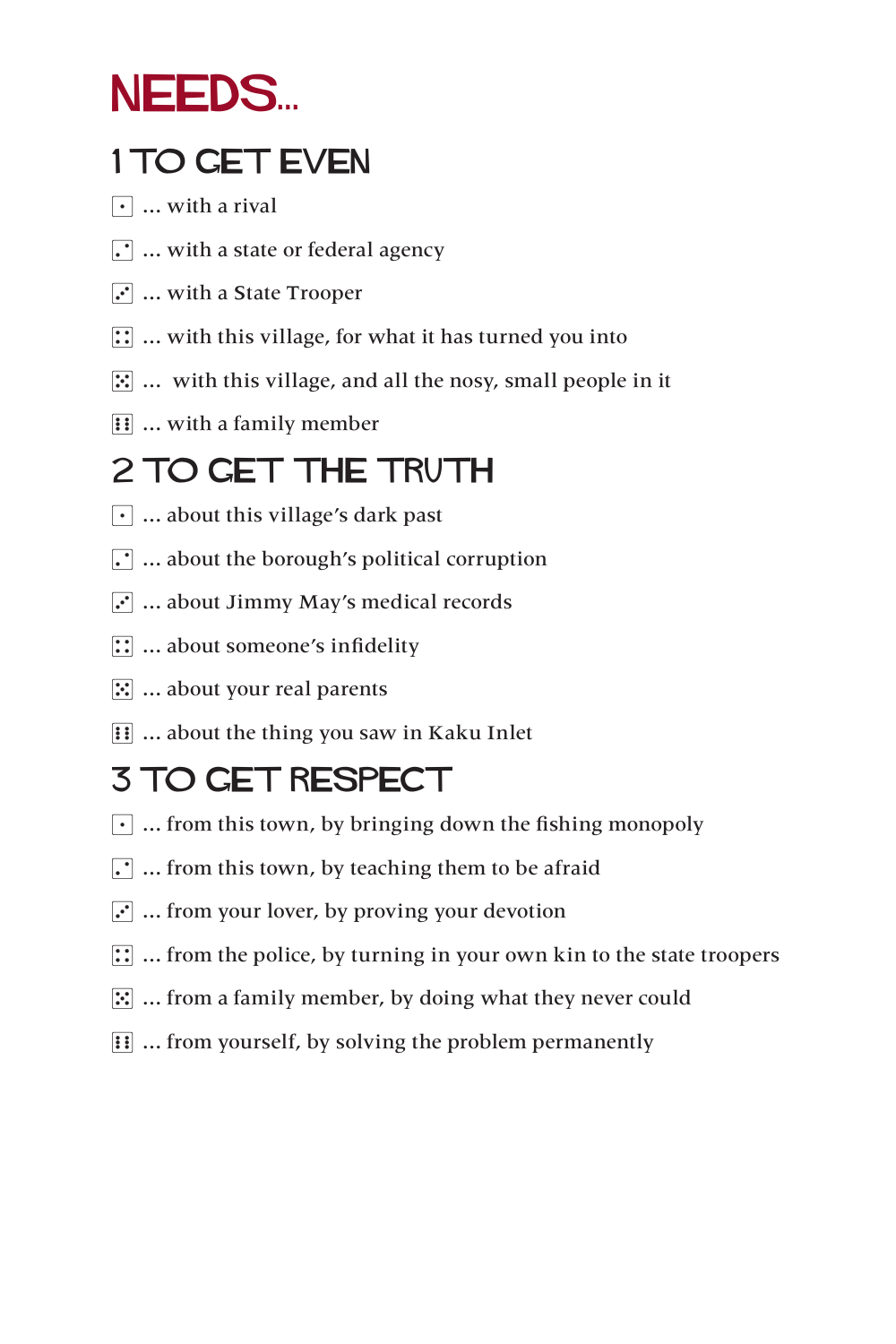### NEEDS...

#### 1 TO GET EVEN

- $\lceil \cdot \rceil$  ... with a rival
- $\Gamma$  ... with a state or federal agency
- $\boxed{\cdot}$  ... with a State Trooper
- $\boxed{\therefore}$  ... with this village, for what it has turned you into
- $\mathbb{E}$  ... with this village, and all the nosy, small people in it
- $\boxed{\vdots}$  ... with a family member

#### 2 TO GET THE TRUTH

- $\cdot$  ... about this village's dark past
- $\ddot{\cdot}$  ... about the borough's political corruption
- $\ddot{\cdot}$  ... about Jimmy May's medical records
- $\boxed{\therefore}$  ... about someone's infidelity
- $\mathbb{E}$  ... about your real parents
- $\boxed{ii}$  ... about the thing you saw in Kaku Inlet

### 3 TO GET RESPECT

- $\lceil \cdot \rceil$  ... from this town, by bringing down the fishing monopoly
- $\boxed{\cdot}$  ... from this town, by teaching them to be afraid
- $\overline{3}$  ... from your lover, by proving your devotion
- $\dddot{\mathbf{u}}$  ... from the police, by turning in your own kin to the state troopers
- $\mathbb{E}$  ... from a family member, by doing what they never could
- **11** ... from yourself, by solving the problem permanently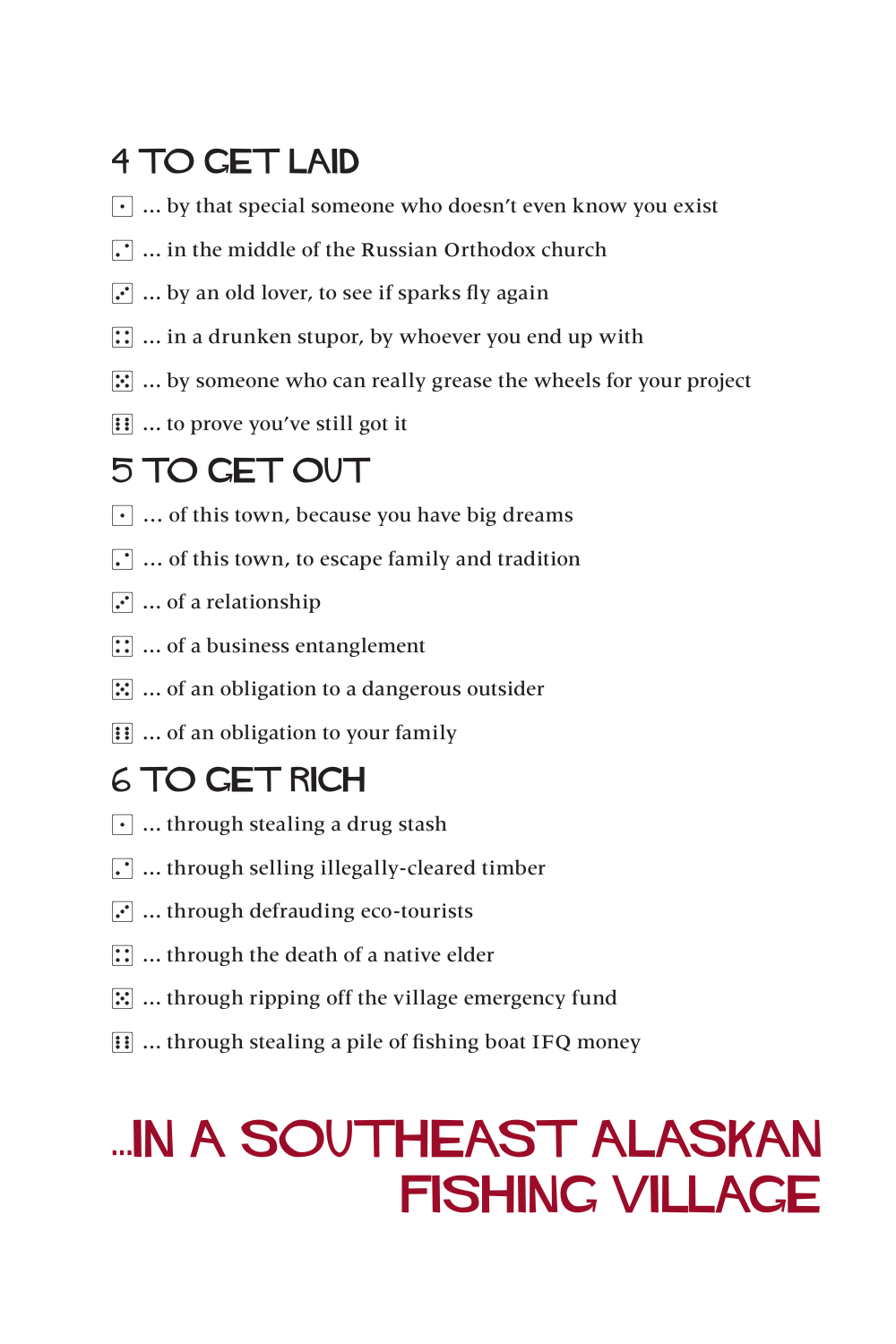#### 4 TO GET LAID

- $\lceil \cdot \rceil$  ... by that special someone who doesn't even know you exist
- $\Gamma$  ... in the middle of the Russian Orthodox church
- $\ddot{\cdot}$  ... by an old lover, to see if sparks fly again
- $\boxed{\therefore}$  ... in a drunken stupor, by whoever you end up with
- $\mathbb{E}$  ... by someone who can really grease the wheels for your project
- $\boxed{\vdots}$  ... to prove you've still got it

#### 5 TO GET OUT

- $\cdot$  ... of this town, because you have big dreams
- $\cdot$   $\cdot$   $\cdot$   $\cdot$  of this town, to escape family and tradition
- $\mathbf{F}$  ... of a relationship
- $\boxed{\therefore}$  ... of a business entanglement
- $\mathbb{E}$  ... of an obligation to a dangerous outsider
- **11** ... of an obligation to your family

#### 6 TO GET RICH

- $\lceil \cdot \rceil$  ... through stealing a drug stash
- $\Gamma$  ... through selling illegally-cleared timber
- $\mathbf{F}$  ... through defrauding eco-tourists
- $\boxed{1}$  ... through the death of a native elder
- $\mathbb{E}$  ... through ripping off the village emergency fund
- **11** ... through stealing a pile of fishing boat IFQ money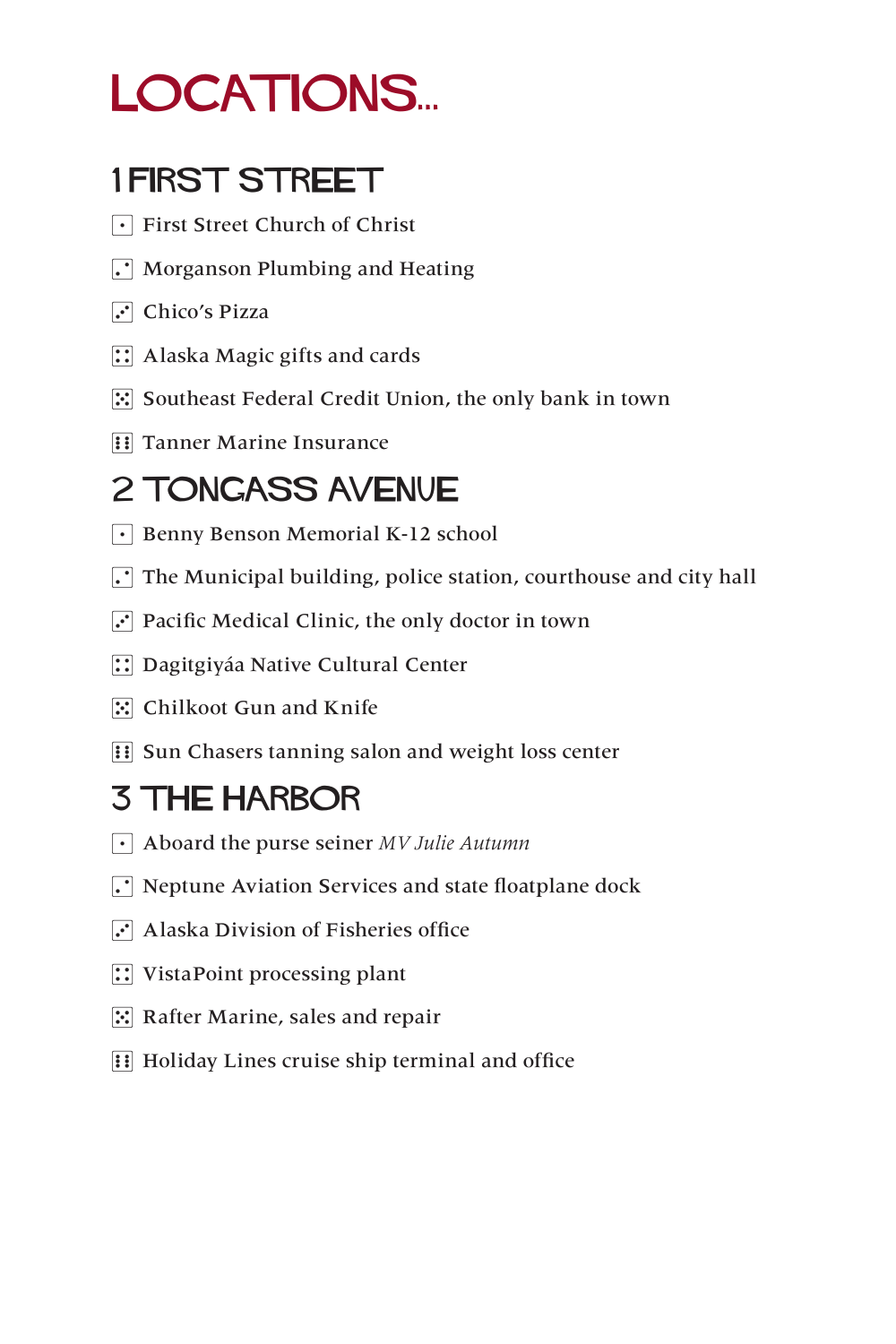### LOCATIONS...

#### 1 FIRST STREET

- 1 First Street Church of Christ
- $\Gamma$  Morganson Plumbing and Heating
- $\Gamma$  Chico's Pizza
- $\boxed{\therefore}$  Alaska Magic gifts and cards
- $\mathbb{E}$  Southeast Federal Credit Union, the only bank in town
- **1** Tanner Marine Insurance

#### 2 TONGASS AVeNUE

- $\lceil \cdot \rceil$  Benny Benson Memorial K-12 school
- $\cdot$  The Municipal building, police station, courthouse and city hall
- $\cdot$  Pacific Medical Clinic, the only doctor in town
- **1. Dagitgiyáa Native Cultural Center**
- $\mathbb{E}$  Chilkoot Gun and Knife
- **FILE Sun Chasers tanning salon and weight loss center**

#### 3 THE HARBOR

- 1 Aboard the purse seiner *MV Julie Autumn*
- $\Gamma$  Neptune Aviation Services and state floatplane dock
- $\overline{3}$  Alaska Division of Fisheries office
- $\boxed{\therefore}$  VistaPoint processing plant
- $\mathbb{E}$  Rafter Marine, sales and repair
- **11** Holiday Lines cruise ship terminal and office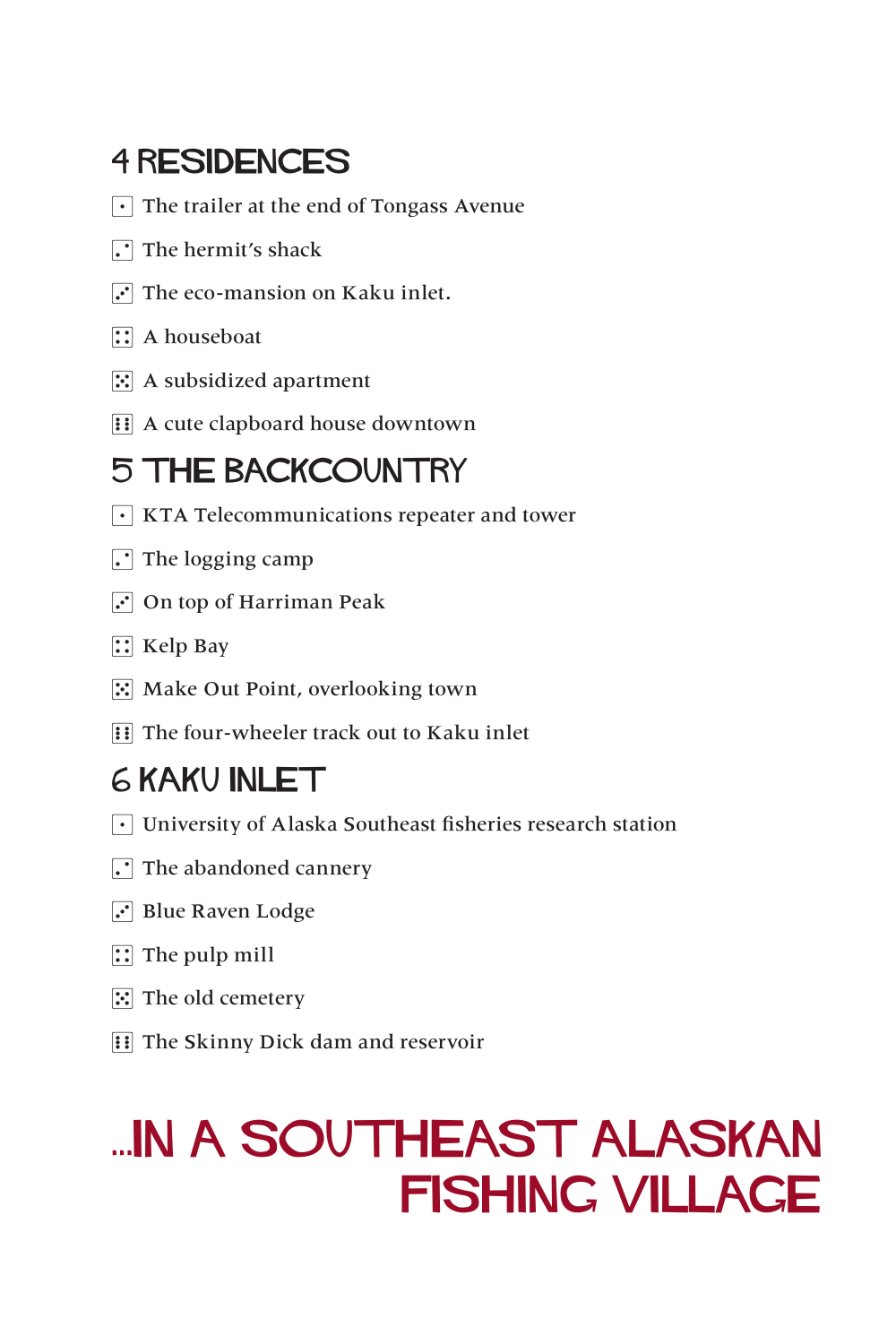#### 4 RESIDENCES

- $\lceil \cdot \rceil$  The trailer at the end of Tongass Avenue
- $\Gamma$  The hermit's shack
- $\Gamma$  The eco-mansion on Kaku inlet.
- $\mathbb{R}$  A houseboat
- $\boxed{5}$  A subsidized apartment
- **1** A cute clapboard house downtown

#### 5 THE BACKCOUNTRY

- $\lceil \cdot \rceil$  KTA Telecommunications repeater and tower
- $\cdot$  The logging camp
- $\overline{3}$  On top of Harriman Peak
- $\mathbb{R}$  Kelp Bay
- **5** Make Out Point, overlooking town
- **Fill The four-wheeler track out to Kaku inlet**

#### 6 KAKU INLET

- $\lceil \cdot \rceil$  University of Alaska Southeast fisheries research station
- $\Gamma$  The abandoned cannery
- $\cdot$  Blue Raven Lodge
- $\boxed{\therefore}$  The pulp mill
- $\boxed{5}$  The old cemetery
- **Fill The Skinny Dick dam and reservoir**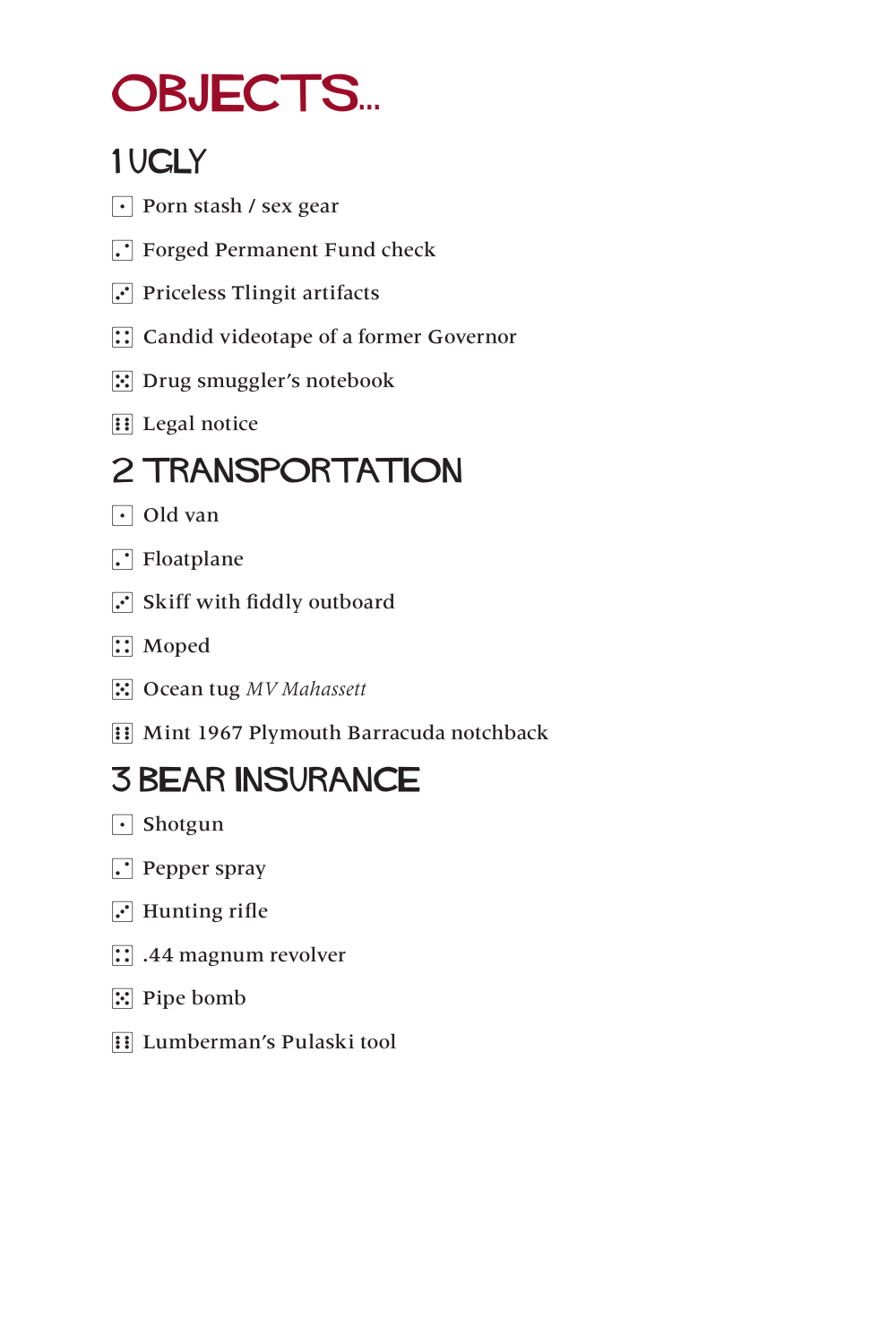### OBJECTS...

#### 1 UGLY

- $\lceil \cdot \rceil$  Porn stash / sex gear
- **1.** Forged Permanent Fund check
- $\boxed{\cdot}$  Priceless Tlingit artifacts
- **12 Candid videotape of a former Governor**
- 5 Drug smuggler's notebook
- **1** Legal notice

#### 2 TRANSPORTATION

- $\lceil \cdot \rceil$  Old van
- $\Gamma$  Floatplane
- $\ddot{ }$  Skiff with fiddly outboard
- $\left| \right|$  Moped
- $\mathbb{E}$  Ocean tug MV Mahassett
- **11 Mint 1967 Plymouth Barracuda notchback**

#### 3 BEAR INSURANCE

- $\lceil \cdot \rceil$  Shotgun
- $\Gamma$  Pepper spray
- $\overline{3}$  Hunting rifle
- $\boxed{::}$  .44 magnum revolver
- 5 Pipe bomb
- **1** Lumberman's Pulaski tool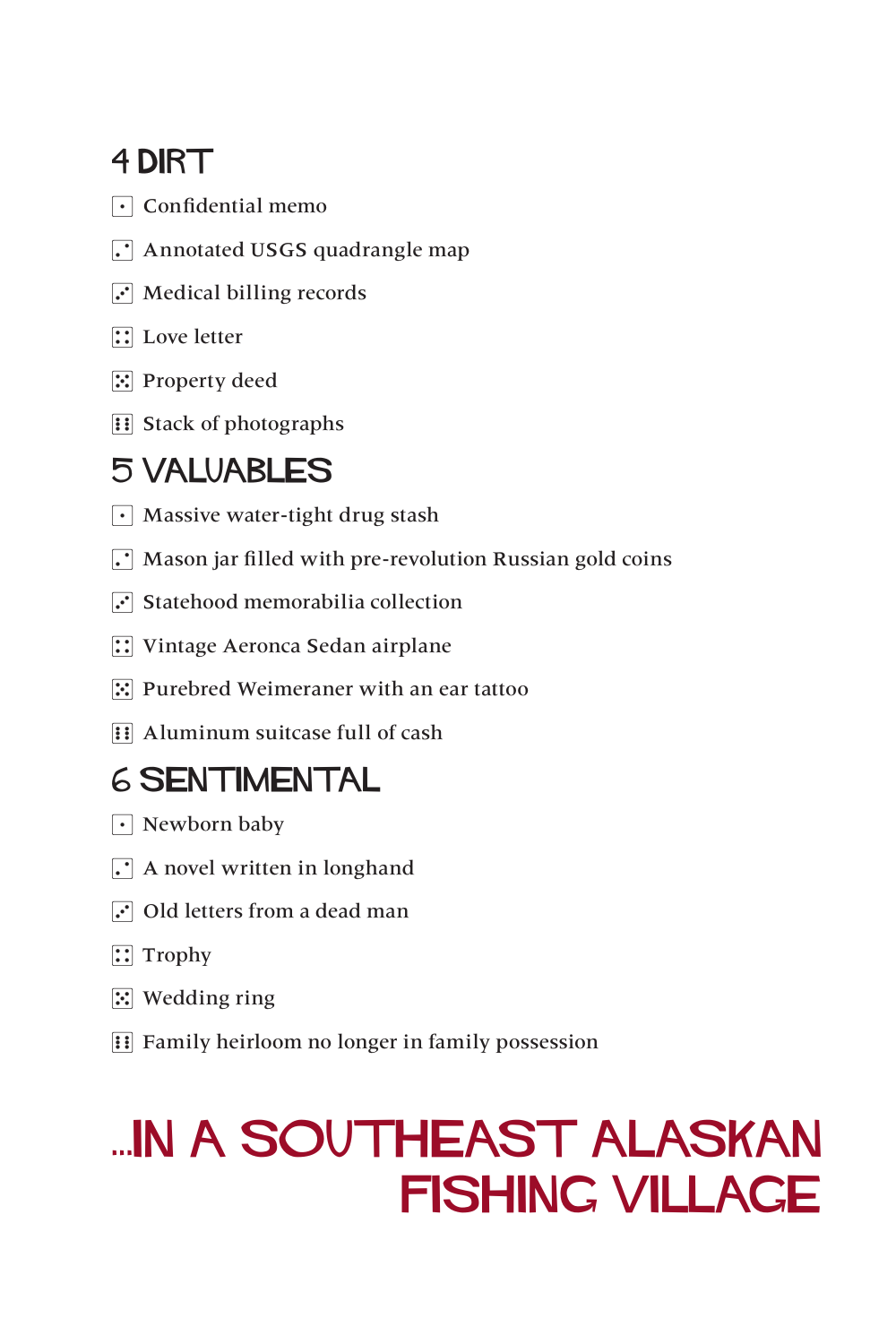#### 4 DIRT

- $\lceil \cdot \rceil$  Confidential memo
- $\Gamma$  Annotated USGS quadrangle map
- $\overline{3}$  Medical billing records
- $\boxed{\therefore}$  Love letter
- 5 Property deed
- $\overline{6}$  Stack of photographs

#### 5 VALUABLES

- $\cdot$  Massive water-tight drug stash
- $\lceil \cdot \rceil$  Mason jar filled with pre-revolution Russian gold coins
- $\overline{S}$  Statehood memorabilia collection
- **1**: Vintage Aeronca Sedan airplane
- **5.** Purebred Weimeraner with an ear tattoo
- $\mathbf{F}$  Aluminum suitcase full of cash

#### 6 SENTIMENTAL

- $\lceil \cdot \rceil$  Newborn baby
- $\Gamma$  A novel written in longhand
- $\overline{3}$  Old letters from a dead man
- $\boxed{\therefore}$  Trophy
- $\mathbb{E}$  Wedding ring
- **Fig. 5 Family heirloom no longer in family possession**